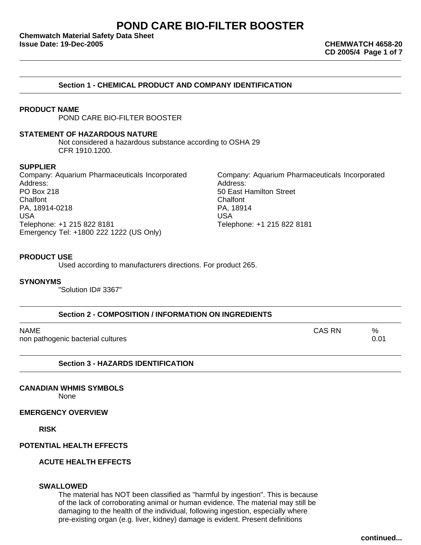# **POND CARE BIO-FILTER BOOSTER**

**Chemwatch Material Safety Data Sheet Issue Date: 19-Dec-2005 CHEMWATCH 4658-20**

**CD 2005/4 Page 1 of 7**

### **PRODUCT NAME**

POND CARE BIO-FILTER BOOSTER

#### **STATEMENT OF HAZARDOUS NATURE**

Not considered a hazardous substance according to OSHA 29 CFR 1910.1200.

#### **SUPPLIER**

Company: Aquarium Pharmaceuticals Incorporated Company: Aquarium Pharmaceuticals Incorporated Address: Address: PO Box 218 **For all and Street** Engineering Solution Street Engineering Solution Street Chalfont Chalfont PA, 18914-0218 PA, 18914 USA USA Telephone: +1 215 822 8181 Telephone: +1 215 822 8181 Emergency Tel: +1800 222 1222 (US Only)

**PRODUCT USE**

Used according to manufacturers directions. For product 265.

#### **SYNONYMS**

"Solution ID# 3367"

| Section 2 - COMPOSITION / INFORMATION ON INGREDIENTS |        |              |
|------------------------------------------------------|--------|--------------|
| NAME<br>non pathogenic bacterial cultures            | CAS RN | $\%$<br>0.01 |

**Section 3 - HAZARDS IDENTIFICATION**

#### **CANADIAN WHMIS SYMBOLS**

None

#### **EMERGENCY OVERVIEW**

**RISK**

#### **POTENTIAL HEALTH EFFECTS**

### **ACUTE HEALTH EFFECTS**

#### **SWALLOWED**

The material has NOT been classified as "harmful by ingestion". This is because of the lack of corroborating animal or human evidence. The material may still be damaging to the health of the individual, following ingestion, especially where pre-existing organ (e.g. liver, kidney) damage is evident. Present definitions

**continued...**

### **Section 1 - CHEMICAL PRODUCT AND COMPANY IDENTIFICATION**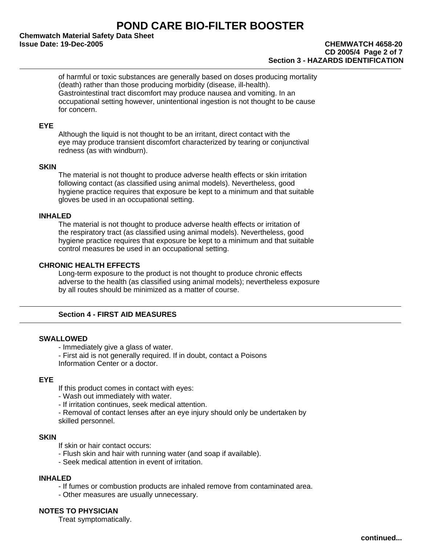# **POND CARE BIO-FILTER BOOSTER**

**Chemwatch Material Safety Data Sheet Issue Date: 19-Dec-2005 CHEMWATCH 4658-20**

# **CD 2005/4 Page 2 of 7 Section 3 - HAZARDS IDENTIFICATION**

of harmful or toxic substances are generally based on doses producing mortality (death) rather than those producing morbidity (disease, ill-health). Gastrointestinal tract discomfort may produce nausea and vomiting. In an occupational setting however, unintentional ingestion is not thought to be cause for concern.

### **EYE**

Although the liquid is not thought to be an irritant, direct contact with the eye may produce transient discomfort characterized by tearing or conjunctival redness (as with windburn).

### **SKIN**

The material is not thought to produce adverse health effects or skin irritation following contact (as classified using animal models). Nevertheless, good hygiene practice requires that exposure be kept to a minimum and that suitable gloves be used in an occupational setting.

### **INHALED**

The material is not thought to produce adverse health effects or irritation of the respiratory tract (as classified using animal models). Nevertheless, good hygiene practice requires that exposure be kept to a minimum and that suitable control measures be used in an occupational setting.

### **CHRONIC HEALTH EFFECTS**

Long-term exposure to the product is not thought to produce chronic effects adverse to the health (as classified using animal models); nevertheless exposure by all routes should be minimized as a matter of course.

### **Section 4 - FIRST AID MEASURES**

#### **SWALLOWED**

- Immediately give a glass of water.
- First aid is not generally required. If in doubt, contact a Poisons Information Center or a doctor.

#### **EYE**

If this product comes in contact with eyes:

- Wash out immediately with water.
- If irritation continues, seek medical attention.
- Removal of contact lenses after an eye injury should only be undertaken by skilled personnel.

#### **SKIN**

- If skin or hair contact occurs:
- Flush skin and hair with running water (and soap if available).
- Seek medical attention in event of irritation.

### **INHALED**

- If fumes or combustion products are inhaled remove from contaminated area.
- Other measures are usually unnecessary.

### **NOTES TO PHYSICIAN**

Treat symptomatically.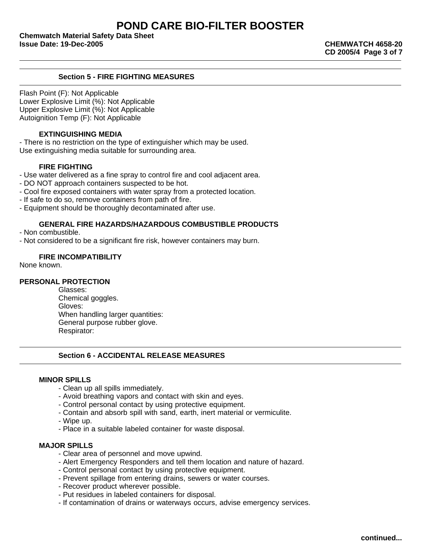**CD 2005/4 Page 3 of 7**

### **Section 5 - FIRE FIGHTING MEASURES**

Flash Point (F): Not Applicable Lower Explosive Limit (%): Not Applicable Upper Explosive Limit (%): Not Applicable Autoignition Temp (F): Not Applicable

### **EXTINGUISHING MEDIA**

- There is no restriction on the type of extinguisher which may be used. Use extinguishing media suitable for surrounding area.

### **FIRE FIGHTING**

- Use water delivered as a fine spray to control fire and cool adjacent area.
- DO NOT approach containers suspected to be hot.
- Cool fire exposed containers with water spray from a protected location.
- If safe to do so, remove containers from path of fire.
- Equipment should be thoroughly decontaminated after use.

### **GENERAL FIRE HAZARDS/HAZARDOUS COMBUSTIBLE PRODUCTS**

- Non combustible.
- Not considered to be a significant fire risk, however containers may burn.

### **FIRE INCOMPATIBILITY**

None known.

#### **PERSONAL PROTECTION**

Glasses: Chemical goggles. Gloves: When handling larger quantities: General purpose rubber glove. Respirator:

### **Section 6 - ACCIDENTAL RELEASE MEASURES**

#### **MINOR SPILLS**

- Clean up all spills immediately.
- Avoid breathing vapors and contact with skin and eyes.
- Control personal contact by using protective equipment.
- Contain and absorb spill with sand, earth, inert material or vermiculite.
- Wipe up.
- Place in a suitable labeled container for waste disposal.

#### **MAJOR SPILLS**

- Clear area of personnel and move upwind.
- Alert Emergency Responders and tell them location and nature of hazard.
- Control personal contact by using protective equipment.
- Prevent spillage from entering drains, sewers or water courses.
- Recover product wherever possible.
- Put residues in labeled containers for disposal.
- If contamination of drains or waterways occurs, advise emergency services.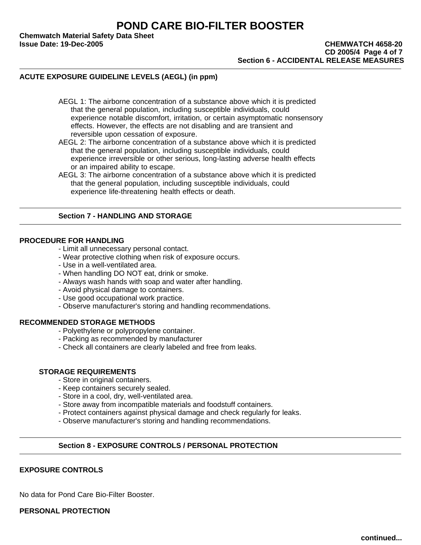**Chemwatch Material Safety Data Sheet**

#### **Issue Date: 19-Dec-2005 CHEMWATCH 4658-20 CD 2005/4 Page 4 of 7 Section 6 - ACCIDENTAL RELEASE MEASURES**

## **ACUTE EXPOSURE GUIDELINE LEVELS (AEGL) (in ppm)**

AEGL 1: The airborne concentration of a substance above which it is predicted that the general population, including susceptible individuals, could experience notable discomfort, irritation, or certain asymptomatic nonsensory effects. However, the effects are not disabling and are transient and reversible upon cessation of exposure.

AEGL 2: The airborne concentration of a substance above which it is predicted that the general population, including susceptible individuals, could experience irreversible or other serious, long-lasting adverse health effects or an impaired ability to escape.

AEGL 3: The airborne concentration of a substance above which it is predicted that the general population, including susceptible individuals, could experience life-threatening health effects or death.

### **Section 7 - HANDLING AND STORAGE**

### **PROCEDURE FOR HANDLING**

- Limit all unnecessary personal contact.

- Wear protective clothing when risk of exposure occurs.
- Use in a well-ventilated area.
- When handling DO NOT eat, drink or smoke.
- Always wash hands with soap and water after handling.
- Avoid physical damage to containers.
- Use good occupational work practice.
- Observe manufacturer's storing and handling recommendations.

#### **RECOMMENDED STORAGE METHODS**

- Polyethylene or polypropylene container.
- Packing as recommended by manufacturer
- Check all containers are clearly labeled and free from leaks.

#### **STORAGE REQUIREMENTS**

- Store in original containers.
- Keep containers securely sealed.
- Store in a cool, dry, well-ventilated area.
- Store away from incompatible materials and foodstuff containers.
- Protect containers against physical damage and check regularly for leaks.
- Observe manufacturer's storing and handling recommendations.

#### **Section 8 - EXPOSURE CONTROLS / PERSONAL PROTECTION**

### **EXPOSURE CONTROLS**

No data for Pond Care Bio-Filter Booster.

**PERSONAL PROTECTION**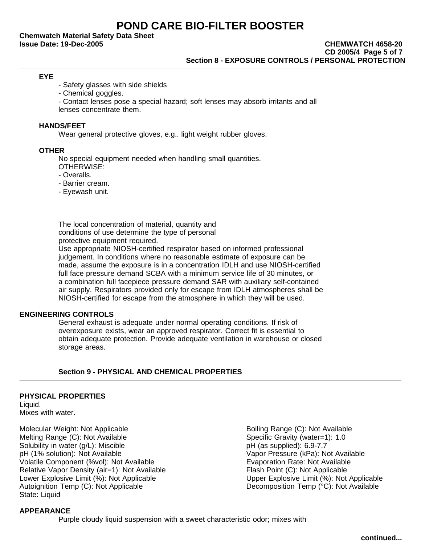**Chemwatch Material Safety Data Sheet**

#### **EYE**

- Safety glasses with side shields

- Chemical goggles.

- Contact lenses pose a special hazard; soft lenses may absorb irritants and all

lenses concentrate them.

#### **HANDS/FEET**

Wear general protective gloves, e.g.. light weight rubber gloves.

#### **OTHER**

No special equipment needed when handling small quantities.

- OTHERWISE:
- Overalls.
- Barrier cream.
- Eyewash unit.

The local concentration of material, quantity and conditions of use determine the type of personal protective equipment required.

Use appropriate NIOSH-certified respirator based on informed professional judgement. In conditions where no reasonable estimate of exposure can be made, assume the exposure is in a concentration IDLH and use NIOSH-certified full face pressure demand SCBA with a minimum service life of 30 minutes, or a combination full facepiece pressure demand SAR with auxiliary self-contained air supply. Respirators provided only for escape from IDLH atmospheres shall be NIOSH-certified for escape from the atmosphere in which they will be used.

#### **ENGINEERING CONTROLS**

General exhaust is adequate under normal operating conditions. If risk of overexposure exists, wear an approved respirator. Correct fit is essential to obtain adequate protection. Provide adequate ventilation in warehouse or closed storage areas.

### **Section 9 - PHYSICAL AND CHEMICAL PROPERTIES**

#### **PHYSICAL PROPERTIES**

Liquid. Mixes with water.

Molecular Weight: Not Applicable<br>
Melting Range (C): Not Available<br>
Specific Gravity (water=1): 1.0 Melting Range (C): Not Available Solubility in water (g/L): Miscible pH (as supplied): 6.9-7.7 pH (1% solution): Not Available Vapor Pressure (kPa): Not Available Volatile Component (%vol): Not Available **Exable Evaporation Rate: Not Available** Volation Rate: Not Available Relative Vapor Density (air=1): Not Available Flash Point (C): Not Applicable Lower Explosive Limit (%): Not Applicable<br>
Autoignition Temp (C): Not Applicable **National Autoignition Temp (°C): Not Available** Autoignition Temp (C): Not Applicable State: Liquid

### **APPEARANCE**

Purple cloudy liquid suspension with a sweet characteristic odor; mixes with

**continued...**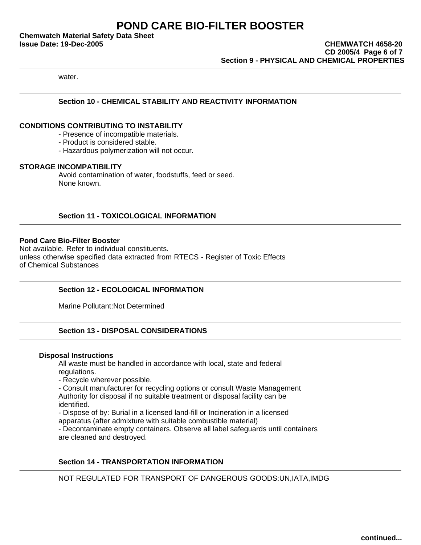**Chemwatch Material Safety Data Sheet**

**Issue Date: 19-Dec-2005 CHEMWATCH 4658-20 CD 2005/4 Page 6 of 7 Section 9 - PHYSICAL AND CHEMICAL PROPERTIES**

water.

### **Section 10 - CHEMICAL STABILITY AND REACTIVITY INFORMATION**

### **CONDITIONS CONTRIBUTING TO INSTABILITY**

- Presence of incompatible materials.

- Product is considered stable.

- Hazardous polymerization will not occur.

### **STORAGE INCOMPATIBILITY**

Avoid contamination of water, foodstuffs, feed or seed. None known.

### **Section 11 - TOXICOLOGICAL INFORMATION**

### **Pond Care Bio-Filter Booster**

Not available. Refer to individual constituents. unless otherwise specified data extracted from RTECS - Register of Toxic Effects of Chemical Substances

### **Section 12 - ECOLOGICAL INFORMATION**

Marine Pollutant:Not Determined

### **Section 13 - DISPOSAL CONSIDERATIONS**

#### **Disposal Instructions**

All waste must be handled in accordance with local, state and federal regulations.

- Recycle wherever possible.

- Consult manufacturer for recycling options or consult Waste Management

Authority for disposal if no suitable treatment or disposal facility can be identified.

- Dispose of by: Burial in a licensed land-fill or Incineration in a licensed

apparatus (after admixture with suitable combustible material)

- Decontaminate empty containers. Observe all label safeguards until containers are cleaned and destroyed.

### **Section 14 - TRANSPORTATION INFORMATION**

NOT REGULATED FOR TRANSPORT OF DANGEROUS GOODS:UN,IATA,IMDG